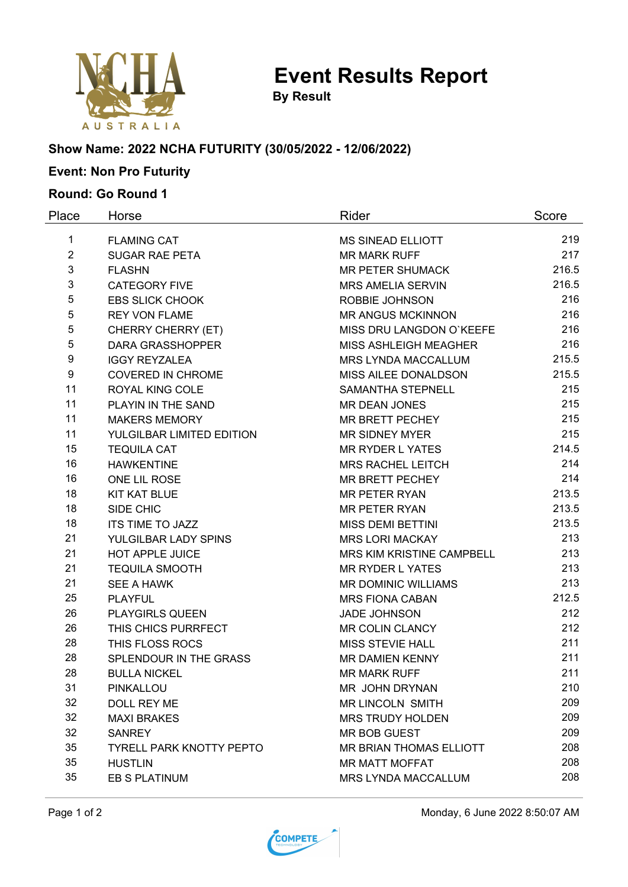

**Event Results Report**

**By Result**

## **Show Name: 2022 NCHA FUTURITY (30/05/2022 - 12/06/2022)**

# **Event: Non Pro Futurity**

### **Round: Go Round 1**

| Place          | Horse                           | Rider                          | Score |
|----------------|---------------------------------|--------------------------------|-------|
| 1              | <b>FLAMING CAT</b>              | <b>MS SINEAD ELLIOTT</b>       | 219   |
| $\overline{2}$ | <b>SUGAR RAE PETA</b>           | <b>MR MARK RUFF</b>            | 217   |
| 3              | <b>FLASHN</b>                   | <b>MR PETER SHUMACK</b>        | 216.5 |
| 3              | <b>CATEGORY FIVE</b>            | <b>MRS AMELIA SERVIN</b>       | 216.5 |
| 5              | <b>EBS SLICK CHOOK</b>          | ROBBIE JOHNSON                 | 216   |
| 5              | <b>REY VON FLAME</b>            | <b>MR ANGUS MCKINNON</b>       | 216   |
| 5              | <b>CHERRY CHERRY (ET)</b>       | MISS DRU LANGDON O'KEEFE       | 216   |
| 5              | <b>DARA GRASSHOPPER</b>         | MISS ASHLEIGH MEAGHER          | 216   |
| 9              | <b>IGGY REYZALEA</b>            | <b>MRS LYNDA MACCALLUM</b>     | 215.5 |
| 9              | <b>COVERED IN CHROME</b>        | MISS AILEE DONALDSON           | 215.5 |
| 11             | ROYAL KING COLE                 | SAMANTHA STEPNELL              | 215   |
| 11             | PLAYIN IN THE SAND              | <b>MR DEAN JONES</b>           | 215   |
| 11             | <b>MAKERS MEMORY</b>            | MR BRETT PECHEY                | 215   |
| 11             | YULGILBAR LIMITED EDITION       | <b>MR SIDNEY MYER</b>          | 215   |
| 15             | <b>TEQUILA CAT</b>              | <b>MR RYDER L YATES</b>        | 214.5 |
| 16             | <b>HAWKENTINE</b>               | <b>MRS RACHEL LEITCH</b>       | 214   |
| 16             | ONE LIL ROSE                    | <b>MR BRETT PECHEY</b>         | 214   |
| 18             | <b>KIT KAT BLUE</b>             | <b>MR PETER RYAN</b>           | 213.5 |
| 18             | SIDE CHIC                       | <b>MR PETER RYAN</b>           | 213.5 |
| 18             | <b>ITS TIME TO JAZZ</b>         | <b>MISS DEMI BETTINI</b>       | 213.5 |
| 21             | YULGILBAR LADY SPINS            | <b>MRS LORI MACKAY</b>         | 213   |
| 21             | HOT APPLE JUICE                 | MRS KIM KRISTINE CAMPBELL      | 213   |
| 21             | <b>TEQUILA SMOOTH</b>           | <b>MR RYDER L YATES</b>        | 213   |
| 21             | <b>SEE A HAWK</b>               | <b>MR DOMINIC WILLIAMS</b>     | 213   |
| 25             | <b>PLAYFUL</b>                  | <b>MRS FIONA CABAN</b>         | 212.5 |
| 26             | PLAYGIRLS QUEEN                 | <b>JADE JOHNSON</b>            | 212   |
| 26             | THIS CHICS PURRFECT             | <b>MR COLIN CLANCY</b>         | 212   |
| 28             | THIS FLOSS ROCS                 | <b>MISS STEVIE HALL</b>        | 211   |
| 28             | SPLENDOUR IN THE GRASS          | <b>MR DAMIEN KENNY</b>         | 211   |
| 28             | <b>BULLA NICKEL</b>             | <b>MR MARK RUFF</b>            | 211   |
| 31             | PINKALLOU                       | MR JOHN DRYNAN                 | 210   |
| 32             | DOLL REY ME                     | <b>MR LINCOLN SMITH</b>        | 209   |
| 32             | <b>MAXI BRAKES</b>              | <b>MRS TRUDY HOLDEN</b>        | 209   |
| 32             | <b>SANREY</b>                   | MR BOB GUEST                   | 209   |
| 35             | <b>TYRELL PARK KNOTTY PEPTO</b> | <b>MR BRIAN THOMAS ELLIOTT</b> | 208   |
| 35             | <b>HUSTLIN</b>                  | <b>MR MATT MOFFAT</b>          | 208   |
| 35             | EB S PLATINUM                   | MRS LYNDA MACCALLUM            | 208   |